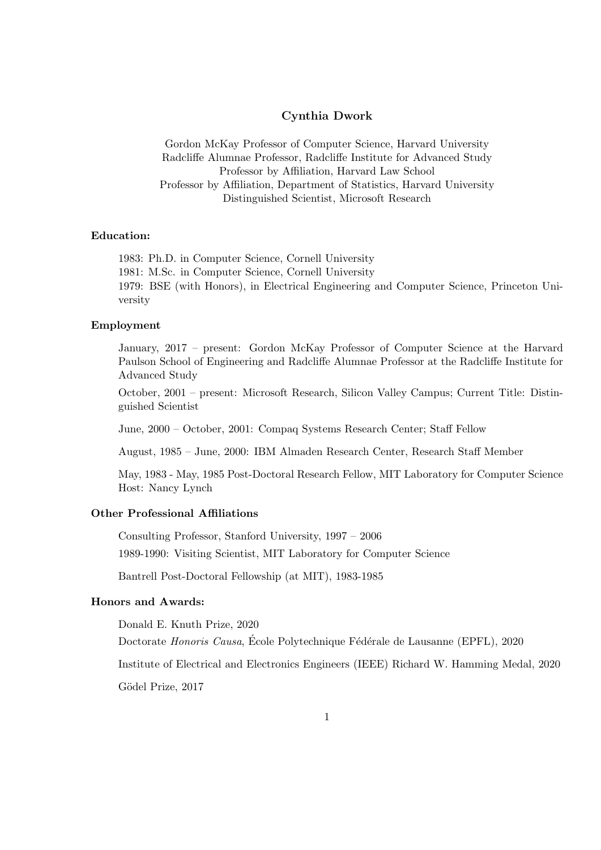# Cynthia Dwork

Gordon McKay Professor of Computer Science, Harvard University Radcliffe Alumnae Professor, Radcliffe Institute for Advanced Study Professor by Affiliation, Harvard Law School Professor by Affiliation, Department of Statistics, Harvard University Distinguished Scientist, Microsoft Research

### Education:

1983: Ph.D. in Computer Science, Cornell University 1981: M.Sc. in Computer Science, Cornell University 1979: BSE (with Honors), in Electrical Engineering and Computer Science, Princeton University

### Employment

January, 2017 – present: Gordon McKay Professor of Computer Science at the Harvard Paulson School of Engineering and Radcliffe Alumnae Professor at the Radcliffe Institute for Advanced Study

October, 2001 – present: Microsoft Research, Silicon Valley Campus; Current Title: Distinguished Scientist

June, 2000 – October, 2001: Compaq Systems Research Center; Staff Fellow

August, 1985 – June, 2000: IBM Almaden Research Center, Research Staff Member

May, 1983 - May, 1985 Post-Doctoral Research Fellow, MIT Laboratory for Computer Science Host: Nancy Lynch

# Other Professional Affiliations

Consulting Professor, Stanford University, 1997 – 2006

1989-1990: Visiting Scientist, MIT Laboratory for Computer Science

Bantrell Post-Doctoral Fellowship (at MIT), 1983-1985

## Honors and Awards:

Donald E. Knuth Prize, 2020

Doctorate Honoris Causa, École Polytechnique Fédérale de Lausanne (EPFL), 2020

Institute of Electrical and Electronics Engineers (IEEE) Richard W. Hamming Medal, 2020

Gödel Prize, 2017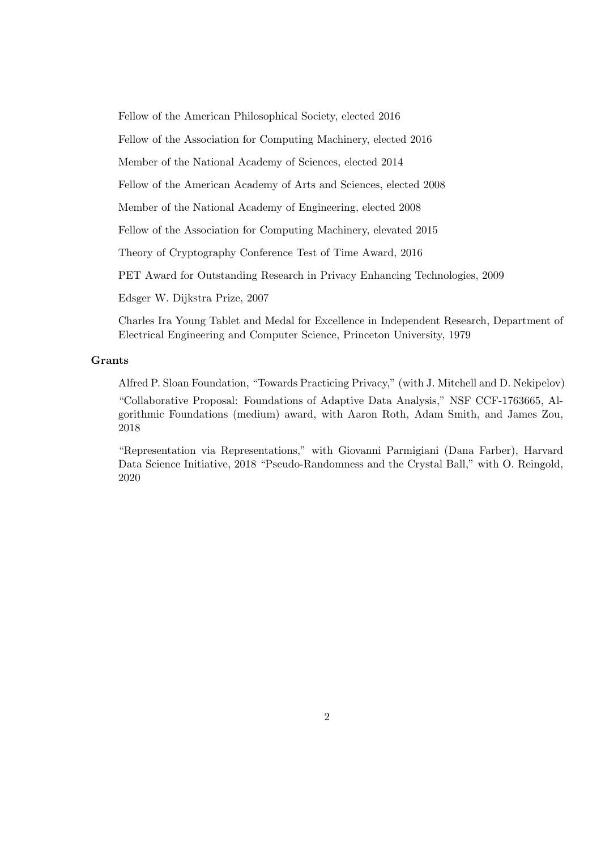Fellow of the American Philosophical Society, elected 2016

Fellow of the Association for Computing Machinery, elected 2016

Member of the National Academy of Sciences, elected 2014

Fellow of the American Academy of Arts and Sciences, elected 2008

Member of the National Academy of Engineering, elected 2008

Fellow of the Association for Computing Machinery, elevated 2015

Theory of Cryptography Conference Test of Time Award, 2016

PET Award for Outstanding Research in Privacy Enhancing Technologies, 2009

Edsger W. Dijkstra Prize, 2007

Charles Ira Young Tablet and Medal for Excellence in Independent Research, Department of Electrical Engineering and Computer Science, Princeton University, 1979

### Grants

Alfred P. Sloan Foundation, "Towards Practicing Privacy," (with J. Mitchell and D. Nekipelov) "Collaborative Proposal: Foundations of Adaptive Data Analysis," NSF CCF-1763665, Algorithmic Foundations (medium) award, with Aaron Roth, Adam Smith, and James Zou, 2018

"Representation via Representations," with Giovanni Parmigiani (Dana Farber), Harvard Data Science Initiative, 2018 "Pseudo-Randomness and the Crystal Ball," with O. Reingold, 2020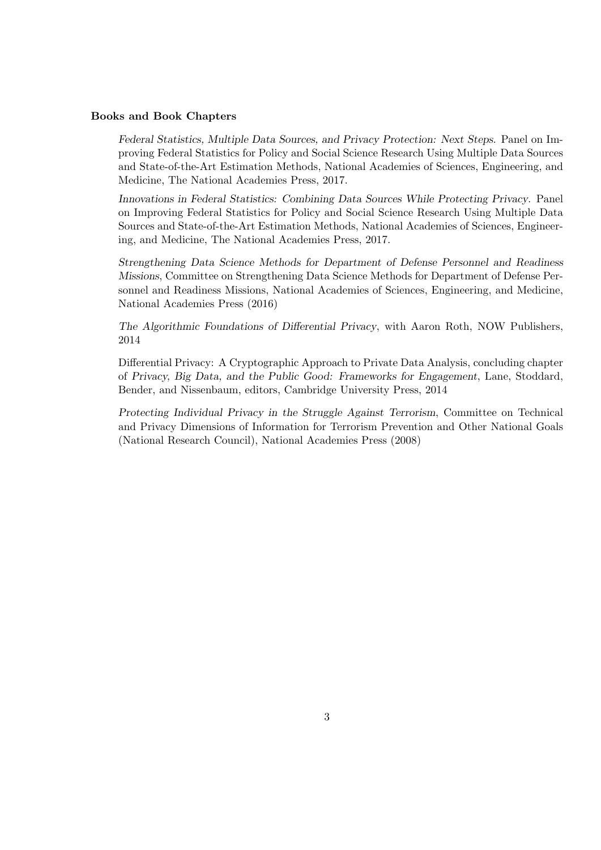#### Books and Book Chapters

Federal Statistics, Multiple Data Sources, and Privacy Protection: Next Steps. Panel on Improving Federal Statistics for Policy and Social Science Research Using Multiple Data Sources and State-of-the-Art Estimation Methods, National Academies of Sciences, Engineering, and Medicine, The National Academies Press, 2017.

Innovations in Federal Statistics: Combining Data Sources While Protecting Privacy. Panel on Improving Federal Statistics for Policy and Social Science Research Using Multiple Data Sources and State-of-the-Art Estimation Methods, National Academies of Sciences, Engineering, and Medicine, The National Academies Press, 2017.

Strengthening Data Science Methods for Department of Defense Personnel and Readiness Missions, Committee on Strengthening Data Science Methods for Department of Defense Personnel and Readiness Missions, National Academies of Sciences, Engineering, and Medicine, National Academies Press (2016)

The Algorithmic Foundations of Differential Privacy, with Aaron Roth, NOW Publishers, 2014

Differential Privacy: A Cryptographic Approach to Private Data Analysis, concluding chapter of Privacy, Big Data, and the Public Good: Frameworks for Engagement, Lane, Stoddard, Bender, and Nissenbaum, editors, Cambridge University Press, 2014

Protecting Individual Privacy in the Struggle Against Terrorism, Committee on Technical and Privacy Dimensions of Information for Terrorism Prevention and Other National Goals (National Research Council), National Academies Press (2008)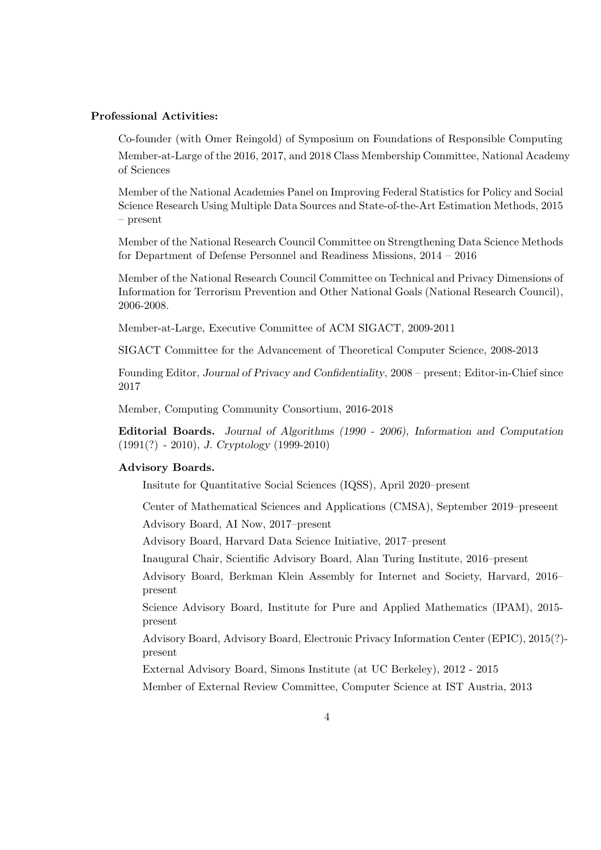## Professional Activities:

Co-founder (with Omer Reingold) of Symposium on Foundations of Responsible Computing Member-at-Large of the 2016, 2017, and 2018 Class Membership Committee, National Academy of Sciences

Member of the National Academies Panel on Improving Federal Statistics for Policy and Social Science Research Using Multiple Data Sources and State-of-the-Art Estimation Methods, 2015 – present

Member of the National Research Council Committee on Strengthening Data Science Methods for Department of Defense Personnel and Readiness Missions, 2014 – 2016

Member of the National Research Council Committee on Technical and Privacy Dimensions of Information for Terrorism Prevention and Other National Goals (National Research Council), 2006-2008.

Member-at-Large, Executive Committee of ACM SIGACT, 2009-2011

SIGACT Committee for the Advancement of Theoretical Computer Science, 2008-2013

Founding Editor, Journal of Privacy and Confidentiality, 2008 – present; Editor-in-Chief since 2017

Member, Computing Community Consortium, 2016-2018

Editorial Boards. Journal of Algorithms (1990 - 2006), Information and Computation (1991(?) - 2010), J. Cryptology (1999-2010)

#### Advisory Boards.

Insitute for Quantitative Social Sciences (IQSS), April 2020–present

Center of Mathematical Sciences and Applications (CMSA), September 2019–preseent

Advisory Board, AI Now, 2017–present

Advisory Board, Harvard Data Science Initiative, 2017–present

Inaugural Chair, Scientific Advisory Board, Alan Turing Institute, 2016–present

Advisory Board, Berkman Klein Assembly for Internet and Society, Harvard, 2016– present

Science Advisory Board, Institute for Pure and Applied Mathematics (IPAM), 2015 present

Advisory Board, Advisory Board, Electronic Privacy Information Center (EPIC), 2015(?) present

External Advisory Board, Simons Institute (at UC Berkeley), 2012 - 2015

Member of External Review Committee, Computer Science at IST Austria, 2013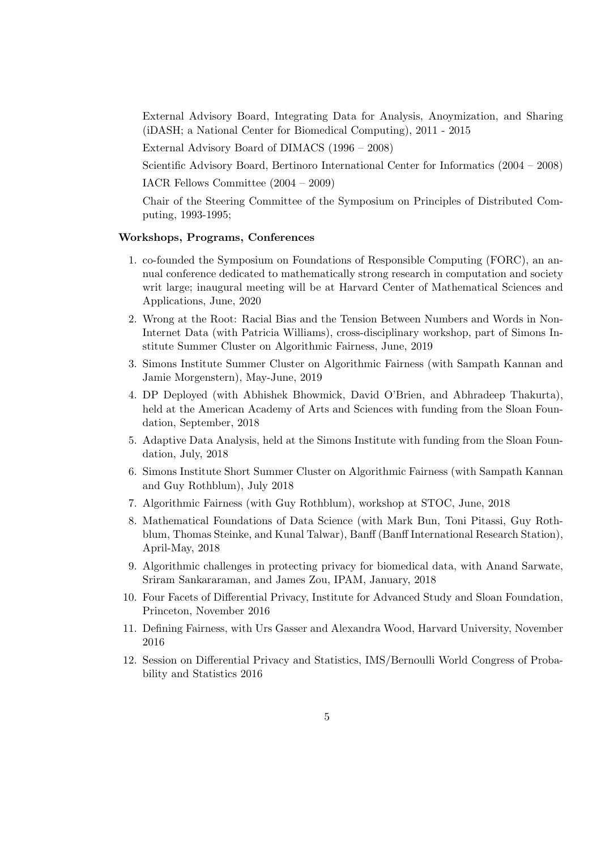External Advisory Board, Integrating Data for Analysis, Anoymization, and Sharing (iDASH; a National Center for Biomedical Computing), 2011 - 2015

External Advisory Board of DIMACS (1996 – 2008)

Scientific Advisory Board, Bertinoro International Center for Informatics (2004 – 2008) IACR Fellows Committee (2004 – 2009)

Chair of the Steering Committee of the Symposium on Principles of Distributed Com-

puting, 1993-1995;

### Workshops, Programs, Conferences

- 1. co-founded the Symposium on Foundations of Responsible Computing (FORC), an annual conference dedicated to mathematically strong research in computation and society writ large; inaugural meeting will be at Harvard Center of Mathematical Sciences and Applications, June, 2020
- 2. Wrong at the Root: Racial Bias and the Tension Between Numbers and Words in Non-Internet Data (with Patricia Williams), cross-disciplinary workshop, part of Simons Institute Summer Cluster on Algorithmic Fairness, June, 2019
- 3. Simons Institute Summer Cluster on Algorithmic Fairness (with Sampath Kannan and Jamie Morgenstern), May-June, 2019
- 4. DP Deployed (with Abhishek Bhowmick, David O'Brien, and Abhradeep Thakurta), held at the American Academy of Arts and Sciences with funding from the Sloan Foundation, September, 2018
- 5. Adaptive Data Analysis, held at the Simons Institute with funding from the Sloan Foundation, July, 2018
- 6. Simons Institute Short Summer Cluster on Algorithmic Fairness (with Sampath Kannan and Guy Rothblum), July 2018
- 7. Algorithmic Fairness (with Guy Rothblum), workshop at STOC, June, 2018
- 8. Mathematical Foundations of Data Science (with Mark Bun, Toni Pitassi, Guy Rothblum, Thomas Steinke, and Kunal Talwar), Banff (Banff International Research Station), April-May, 2018
- 9. Algorithmic challenges in protecting privacy for biomedical data, with Anand Sarwate, Sriram Sankararaman, and James Zou, IPAM, January, 2018
- 10. Four Facets of Differential Privacy, Institute for Advanced Study and Sloan Foundation, Princeton, November 2016
- 11. Defining Fairness, with Urs Gasser and Alexandra Wood, Harvard University, November 2016
- 12. Session on Differential Privacy and Statistics, IMS/Bernoulli World Congress of Probability and Statistics 2016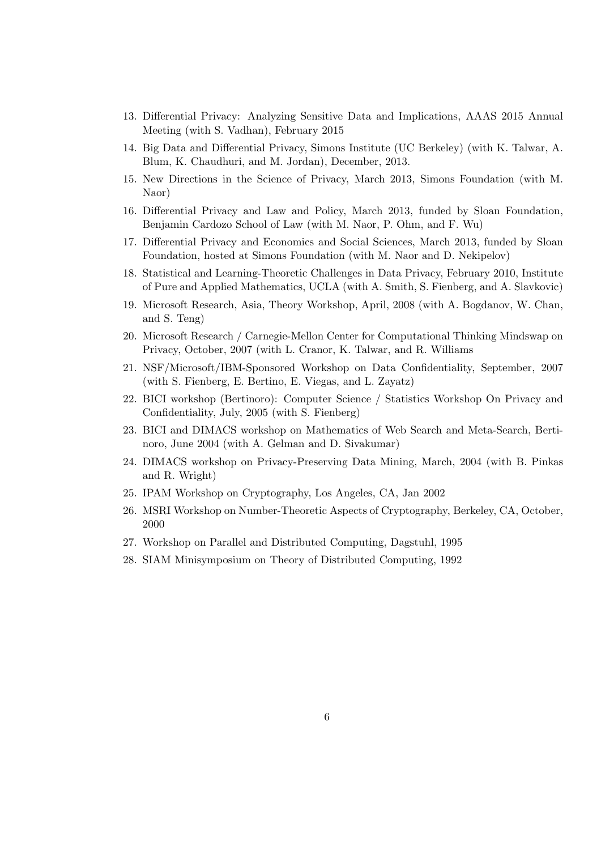- 13. Differential Privacy: Analyzing Sensitive Data and Implications, AAAS 2015 Annual Meeting (with S. Vadhan), February 2015
- 14. Big Data and Differential Privacy, Simons Institute (UC Berkeley) (with K. Talwar, A. Blum, K. Chaudhuri, and M. Jordan), December, 2013.
- 15. New Directions in the Science of Privacy, March 2013, Simons Foundation (with M. Naor)
- 16. Differential Privacy and Law and Policy, March 2013, funded by Sloan Foundation, Benjamin Cardozo School of Law (with M. Naor, P. Ohm, and F. Wu)
- 17. Differential Privacy and Economics and Social Sciences, March 2013, funded by Sloan Foundation, hosted at Simons Foundation (with M. Naor and D. Nekipelov)
- 18. Statistical and Learning-Theoretic Challenges in Data Privacy, February 2010, Institute of Pure and Applied Mathematics, UCLA (with A. Smith, S. Fienberg, and A. Slavkovic)
- 19. Microsoft Research, Asia, Theory Workshop, April, 2008 (with A. Bogdanov, W. Chan, and S. Teng)
- 20. Microsoft Research / Carnegie-Mellon Center for Computational Thinking Mindswap on Privacy, October, 2007 (with L. Cranor, K. Talwar, and R. Williams
- 21. NSF/Microsoft/IBM-Sponsored Workshop on Data Confidentiality, September, 2007 (with S. Fienberg, E. Bertino, E. Viegas, and L. Zayatz)
- 22. BICI workshop (Bertinoro): Computer Science / Statistics Workshop On Privacy and Confidentiality, July, 2005 (with S. Fienberg)
- 23. BICI and DIMACS workshop on Mathematics of Web Search and Meta-Search, Bertinoro, June 2004 (with A. Gelman and D. Sivakumar)
- 24. DIMACS workshop on Privacy-Preserving Data Mining, March, 2004 (with B. Pinkas and R. Wright)
- 25. IPAM Workshop on Cryptography, Los Angeles, CA, Jan 2002
- 26. MSRI Workshop on Number-Theoretic Aspects of Cryptography, Berkeley, CA, October, 2000
- 27. Workshop on Parallel and Distributed Computing, Dagstuhl, 1995
- 28. SIAM Minisymposium on Theory of Distributed Computing, 1992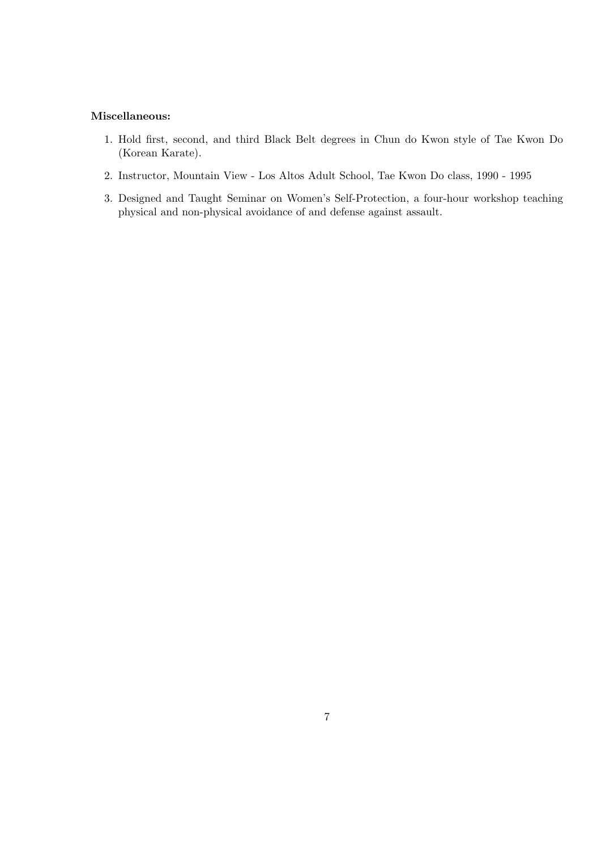## Miscellaneous:

- 1. Hold first, second, and third Black Belt degrees in Chun do Kwon style of Tae Kwon Do (Korean Karate).
- 2. Instructor, Mountain View Los Altos Adult School, Tae Kwon Do class, 1990 1995
- 3. Designed and Taught Seminar on Women's Self-Protection, a four-hour workshop teaching physical and non-physical avoidance of and defense against assault.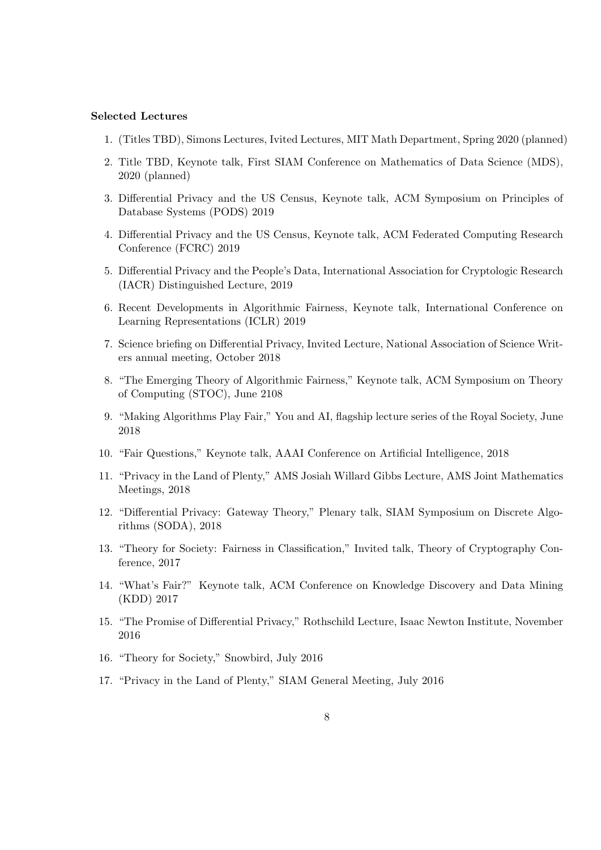#### Selected Lectures

- 1. (Titles TBD), Simons Lectures, Ivited Lectures, MIT Math Department, Spring 2020 (planned)
- 2. Title TBD, Keynote talk, First SIAM Conference on Mathematics of Data Science (MDS), 2020 (planned)
- 3. Differential Privacy and the US Census, Keynote talk, ACM Symposium on Principles of Database Systems (PODS) 2019
- 4. Differential Privacy and the US Census, Keynote talk, ACM Federated Computing Research Conference (FCRC) 2019
- 5. Differential Privacy and the People's Data, International Association for Cryptologic Research (IACR) Distinguished Lecture, 2019
- 6. Recent Developments in Algorithmic Fairness, Keynote talk, International Conference on Learning Representations (ICLR) 2019
- 7. Science briefing on Differential Privacy, Invited Lecture, National Association of Science Writers annual meeting, October 2018
- 8. "The Emerging Theory of Algorithmic Fairness," Keynote talk, ACM Symposium on Theory of Computing (STOC), June 2108
- 9. "Making Algorithms Play Fair," You and AI, flagship lecture series of the Royal Society, June 2018
- 10. "Fair Questions," Keynote talk, AAAI Conference on Artificial Intelligence, 2018
- 11. "Privacy in the Land of Plenty," AMS Josiah Willard Gibbs Lecture, AMS Joint Mathematics Meetings, 2018
- 12. "Differential Privacy: Gateway Theory," Plenary talk, SIAM Symposium on Discrete Algorithms (SODA), 2018
- 13. "Theory for Society: Fairness in Classification," Invited talk, Theory of Cryptography Conference, 2017
- 14. "What's Fair?" Keynote talk, ACM Conference on Knowledge Discovery and Data Mining (KDD) 2017
- 15. "The Promise of Differential Privacy," Rothschild Lecture, Isaac Newton Institute, November 2016
- 16. "Theory for Society," Snowbird, July 2016
- 17. "Privacy in the Land of Plenty," SIAM General Meeting, July 2016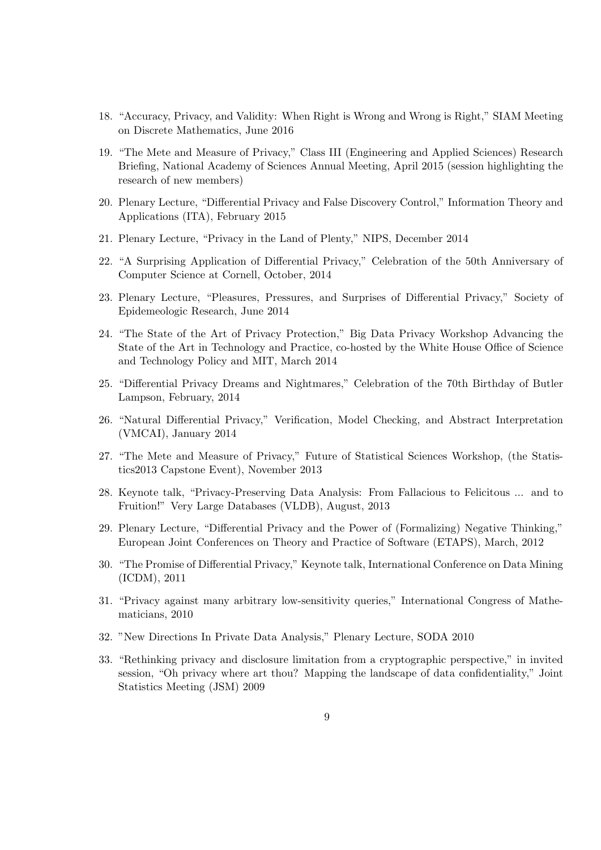- 18. "Accuracy, Privacy, and Validity: When Right is Wrong and Wrong is Right," SIAM Meeting on Discrete Mathematics, June 2016
- 19. "The Mete and Measure of Privacy," Class III (Engineering and Applied Sciences) Research Briefing, National Academy of Sciences Annual Meeting, April 2015 (session highlighting the research of new members)
- 20. Plenary Lecture, "Differential Privacy and False Discovery Control," Information Theory and Applications (ITA), February 2015
- 21. Plenary Lecture, "Privacy in the Land of Plenty," NIPS, December 2014
- 22. "A Surprising Application of Differential Privacy," Celebration of the 50th Anniversary of Computer Science at Cornell, October, 2014
- 23. Plenary Lecture, "Pleasures, Pressures, and Surprises of Differential Privacy," Society of Epidemeologic Research, June 2014
- 24. "The State of the Art of Privacy Protection," Big Data Privacy Workshop Advancing the State of the Art in Technology and Practice, co-hosted by the White House Office of Science and Technology Policy and MIT, March 2014
- 25. "Differential Privacy Dreams and Nightmares," Celebration of the 70th Birthday of Butler Lampson, February, 2014
- 26. "Natural Differential Privacy," Verification, Model Checking, and Abstract Interpretation (VMCAI), January 2014
- 27. "The Mete and Measure of Privacy," Future of Statistical Sciences Workshop, (the Statistics2013 Capstone Event), November 2013
- 28. Keynote talk, "Privacy-Preserving Data Analysis: From Fallacious to Felicitous ... and to Fruition!" Very Large Databases (VLDB), August, 2013
- 29. Plenary Lecture, "Differential Privacy and the Power of (Formalizing) Negative Thinking," European Joint Conferences on Theory and Practice of Software (ETAPS), March, 2012
- 30. "The Promise of Differential Privacy," Keynote talk, International Conference on Data Mining (ICDM), 2011
- 31. "Privacy against many arbitrary low-sensitivity queries," International Congress of Mathematicians, 2010
- 32. "New Directions In Private Data Analysis," Plenary Lecture, SODA 2010
- 33. "Rethinking privacy and disclosure limitation from a cryptographic perspective," in invited session, "Oh privacy where art thou? Mapping the landscape of data confidentiality," Joint Statistics Meeting (JSM) 2009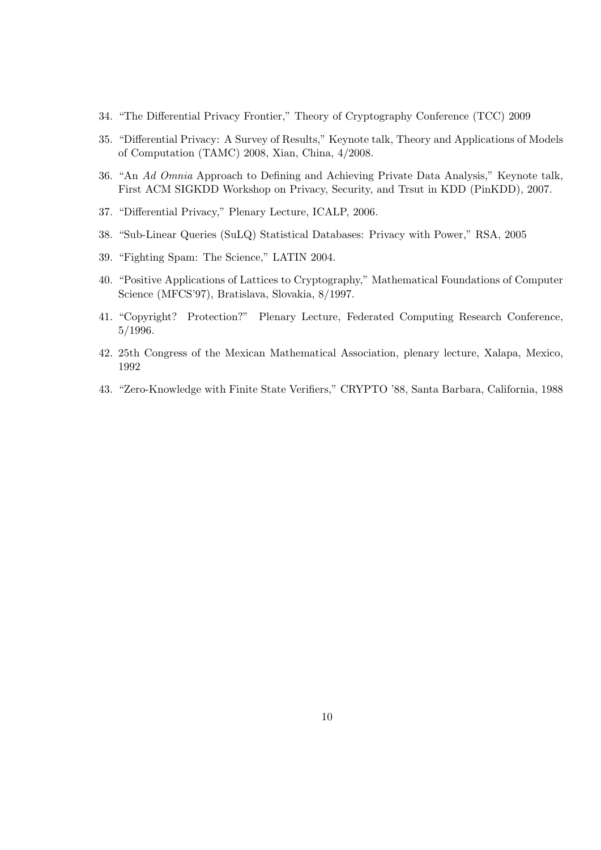- 34. "The Differential Privacy Frontier," Theory of Cryptography Conference (TCC) 2009
- 35. "Differential Privacy: A Survey of Results," Keynote talk, Theory and Applications of Models of Computation (TAMC) 2008, Xian, China, 4/2008.
- 36. "An Ad Omnia Approach to Defining and Achieving Private Data Analysis," Keynote talk, First ACM SIGKDD Workshop on Privacy, Security, and Trsut in KDD (PinKDD), 2007.
- 37. "Differential Privacy," Plenary Lecture, ICALP, 2006.
- 38. "Sub-Linear Queries (SuLQ) Statistical Databases: Privacy with Power," RSA, 2005
- 39. "Fighting Spam: The Science," LATIN 2004.
- 40. "Positive Applications of Lattices to Cryptography," Mathematical Foundations of Computer Science (MFCS'97), Bratislava, Slovakia, 8/1997.
- 41. "Copyright? Protection?" Plenary Lecture, Federated Computing Research Conference, 5/1996.
- 42. 25th Congress of the Mexican Mathematical Association, plenary lecture, Xalapa, Mexico, 1992
- 43. "Zero-Knowledge with Finite State Verifiers," CRYPTO '88, Santa Barbara, California, 1988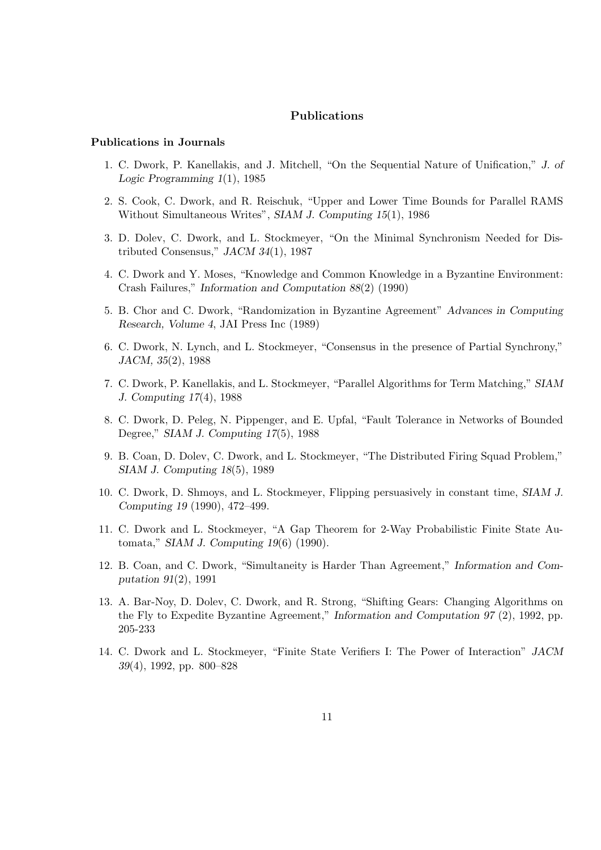## Publications

#### Publications in Journals

- 1. C. Dwork, P. Kanellakis, and J. Mitchell, "On the Sequential Nature of Unification," J. of Logic Programming 1(1), 1985
- 2. S. Cook, C. Dwork, and R. Reischuk, "Upper and Lower Time Bounds for Parallel RAMS Without Simultaneous Writes", SIAM J. Computing 15(1), 1986
- 3. D. Dolev, C. Dwork, and L. Stockmeyer, "On the Minimal Synchronism Needed for Distributed Consensus," JACM 34(1), 1987
- 4. C. Dwork and Y. Moses, "Knowledge and Common Knowledge in a Byzantine Environment: Crash Failures," Information and Computation 88(2) (1990)
- 5. B. Chor and C. Dwork, "Randomization in Byzantine Agreement" Advances in Computing Research, Volume 4, JAI Press Inc (1989)
- 6. C. Dwork, N. Lynch, and L. Stockmeyer, "Consensus in the presence of Partial Synchrony," JACM, 35(2), 1988
- 7. C. Dwork, P. Kanellakis, and L. Stockmeyer, "Parallel Algorithms for Term Matching," SIAM J. Computing 17(4), 1988
- 8. C. Dwork, D. Peleg, N. Pippenger, and E. Upfal, "Fault Tolerance in Networks of Bounded Degree," SIAM J. Computing 17(5), 1988
- 9. B. Coan, D. Dolev, C. Dwork, and L. Stockmeyer, "The Distributed Firing Squad Problem," SIAM J. Computing 18(5), 1989
- 10. C. Dwork, D. Shmoys, and L. Stockmeyer, Flipping persuasively in constant time, SIAM J. Computing 19 (1990), 472–499.
- 11. C. Dwork and L. Stockmeyer, "A Gap Theorem for 2-Way Probabilistic Finite State Automata," SIAM J. Computing 19(6) (1990).
- 12. B. Coan, and C. Dwork, "Simultaneity is Harder Than Agreement," Information and Computation 91(2), 1991
- 13. A. Bar-Noy, D. Dolev, C. Dwork, and R. Strong, "Shifting Gears: Changing Algorithms on the Fly to Expedite Byzantine Agreement," Information and Computation 97 (2), 1992, pp. 205-233
- 14. C. Dwork and L. Stockmeyer, "Finite State Verifiers I: The Power of Interaction" JACM 39(4), 1992, pp. 800–828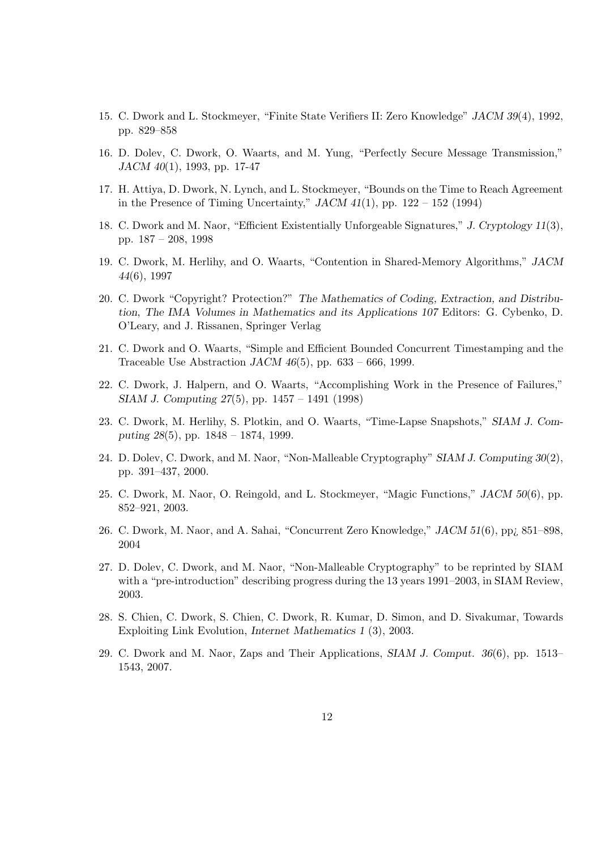- 15. C. Dwork and L. Stockmeyer, "Finite State Verifiers II: Zero Knowledge" JACM 39(4), 1992, pp. 829–858
- 16. D. Dolev, C. Dwork, O. Waarts, and M. Yung, "Perfectly Secure Message Transmission," JACM 40(1), 1993, pp. 17-47
- 17. H. Attiya, D. Dwork, N. Lynch, and L. Stockmeyer, "Bounds on the Time to Reach Agreement in the Presence of Timing Uncertainty,"  $JACM$  41(1), pp. 122 – 152 (1994)
- 18. C. Dwork and M. Naor, "Efficient Existentially Unforgeable Signatures," J. Cryptology 11(3), pp. 187 – 208, 1998
- 19. C. Dwork, M. Herlihy, and O. Waarts, "Contention in Shared-Memory Algorithms," JACM 44(6), 1997
- 20. C. Dwork "Copyright? Protection?" The Mathematics of Coding, Extraction, and Distribution, The IMA Volumes in Mathematics and its Applications 107 Editors: G. Cybenko, D. O'Leary, and J. Rissanen, Springer Verlag
- 21. C. Dwork and O. Waarts, "Simple and Efficient Bounded Concurrent Timestamping and the Traceable Use Abstraction  $JACM$  46(5), pp. 633 – 666, 1999.
- 22. C. Dwork, J. Halpern, and O. Waarts, "Accomplishing Work in the Presence of Failures," SIAM J. Computing 27(5), pp. 1457 – 1491 (1998)
- 23. C. Dwork, M. Herlihy, S. Plotkin, and O. Waarts, "Time-Lapse Snapshots," SIAM J. Computing 28(5), pp. 1848 – 1874, 1999.
- 24. D. Dolev, C. Dwork, and M. Naor, "Non-Malleable Cryptography" SIAM J. Computing 30(2), pp. 391–437, 2000.
- 25. C. Dwork, M. Naor, O. Reingold, and L. Stockmeyer, "Magic Functions," JACM 50(6), pp. 852–921, 2003.
- 26. C. Dwork, M. Naor, and A. Sahai, "Concurrent Zero Knowledge," JACM 51(6), pp¿ 851–898, 2004
- 27. D. Dolev, C. Dwork, and M. Naor, "Non-Malleable Cryptography" to be reprinted by SIAM with a "pre-introduction" describing progress during the 13 years 1991–2003, in SIAM Review, 2003.
- 28. S. Chien, C. Dwork, S. Chien, C. Dwork, R. Kumar, D. Simon, and D. Sivakumar, Towards Exploiting Link Evolution, Internet Mathematics 1 (3), 2003.
- 29. C. Dwork and M. Naor, Zaps and Their Applications, SIAM J. Comput. 36(6), pp. 1513– 1543, 2007.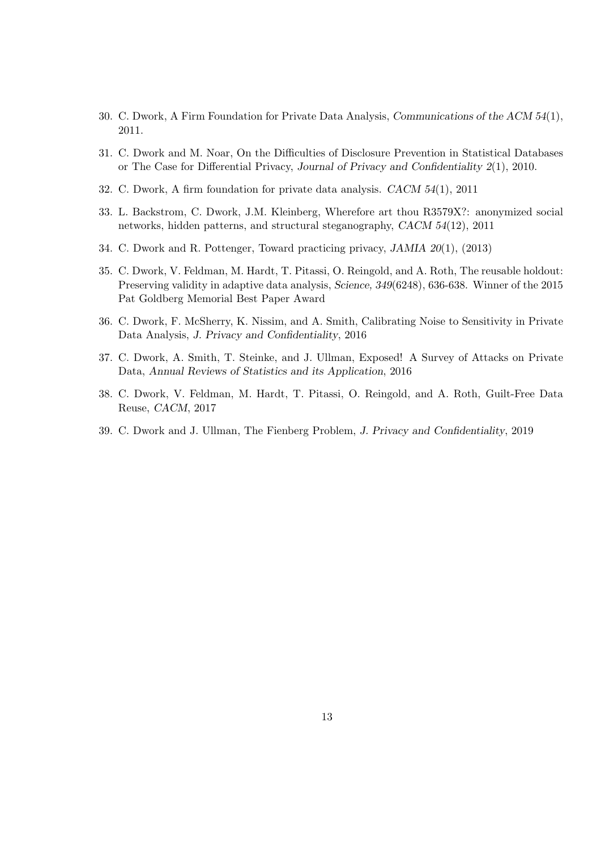- 30. C. Dwork, A Firm Foundation for Private Data Analysis, Communications of the ACM 54(1), 2011.
- 31. C. Dwork and M. Noar, On the Difficulties of Disclosure Prevention in Statistical Databases or The Case for Differential Privacy, Journal of Privacy and Confidentiality 2(1), 2010.
- 32. C. Dwork, A firm foundation for private data analysis. CACM 54(1), 2011
- 33. L. Backstrom, C. Dwork, J.M. Kleinberg, Wherefore art thou R3579X?: anonymized social networks, hidden patterns, and structural steganography, CACM 54(12), 2011
- 34. C. Dwork and R. Pottenger, Toward practicing privacy, JAMIA 20(1), (2013)
- 35. C. Dwork, V. Feldman, M. Hardt, T. Pitassi, O. Reingold, and A. Roth, The reusable holdout: Preserving validity in adaptive data analysis, Science, 349(6248), 636-638. Winner of the 2015 Pat Goldberg Memorial Best Paper Award
- 36. C. Dwork, F. McSherry, K. Nissim, and A. Smith, Calibrating Noise to Sensitivity in Private Data Analysis, J. Privacy and Confidentiality, 2016
- 37. C. Dwork, A. Smith, T. Steinke, and J. Ullman, Exposed! A Survey of Attacks on Private Data, Annual Reviews of Statistics and its Application, 2016
- 38. C. Dwork, V. Feldman, M. Hardt, T. Pitassi, O. Reingold, and A. Roth, Guilt-Free Data Reuse, CACM, 2017
- 39. C. Dwork and J. Ullman, The Fienberg Problem, J. Privacy and Confidentiality, 2019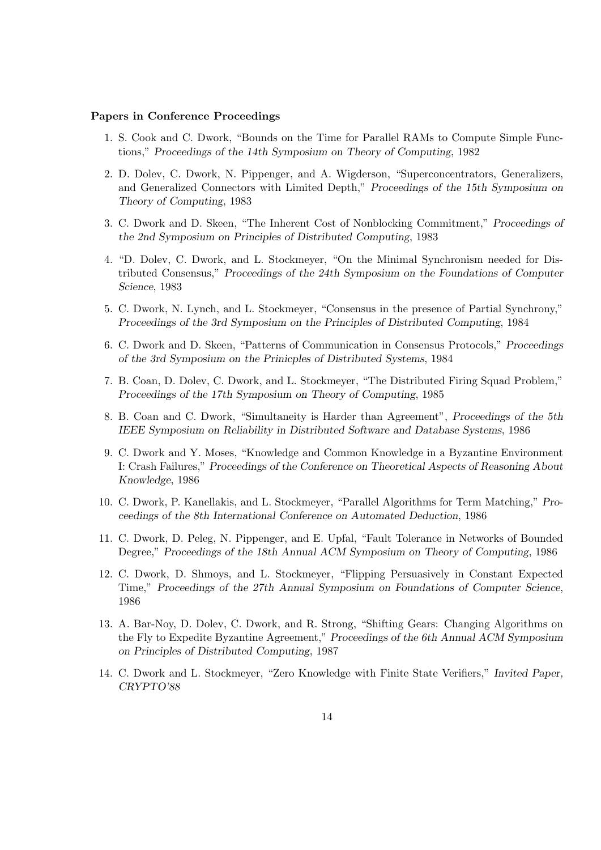#### Papers in Conference Proceedings

- 1. S. Cook and C. Dwork, "Bounds on the Time for Parallel RAMs to Compute Simple Functions," Proceedings of the 14th Symposium on Theory of Computing, 1982
- 2. D. Dolev, C. Dwork, N. Pippenger, and A. Wigderson, "Superconcentrators, Generalizers, and Generalized Connectors with Limited Depth," Proceedings of the 15th Symposium on Theory of Computing, 1983
- 3. C. Dwork and D. Skeen, "The Inherent Cost of Nonblocking Commitment," Proceedings of the 2nd Symposium on Principles of Distributed Computing, 1983
- 4. "D. Dolev, C. Dwork, and L. Stockmeyer, "On the Minimal Synchronism needed for Distributed Consensus," Proceedings of the 24th Symposium on the Foundations of Computer Science, 1983
- 5. C. Dwork, N. Lynch, and L. Stockmeyer, "Consensus in the presence of Partial Synchrony," Proceedings of the 3rd Symposium on the Principles of Distributed Computing, 1984
- 6. C. Dwork and D. Skeen, "Patterns of Communication in Consensus Protocols," Proceedings of the 3rd Symposium on the Prinicples of Distributed Systems, 1984
- 7. B. Coan, D. Dolev, C. Dwork, and L. Stockmeyer, "The Distributed Firing Squad Problem," Proceedings of the 17th Symposium on Theory of Computing, 1985
- 8. B. Coan and C. Dwork, "Simultaneity is Harder than Agreement", Proceedings of the 5th IEEE Symposium on Reliability in Distributed Software and Database Systems, 1986
- 9. C. Dwork and Y. Moses, "Knowledge and Common Knowledge in a Byzantine Environment I: Crash Failures," Proceedings of the Conference on Theoretical Aspects of Reasoning About Knowledge, 1986
- 10. C. Dwork, P. Kanellakis, and L. Stockmeyer, "Parallel Algorithms for Term Matching," Proceedings of the 8th International Conference on Automated Deduction, 1986
- 11. C. Dwork, D. Peleg, N. Pippenger, and E. Upfal, "Fault Tolerance in Networks of Bounded Degree," Proceedings of the 18th Annual ACM Symposium on Theory of Computing, 1986
- 12. C. Dwork, D. Shmoys, and L. Stockmeyer, "Flipping Persuasively in Constant Expected Time," Proceedings of the 27th Annual Symposium on Foundations of Computer Science, 1986
- 13. A. Bar-Noy, D. Dolev, C. Dwork, and R. Strong, "Shifting Gears: Changing Algorithms on the Fly to Expedite Byzantine Agreement," Proceedings of the 6th Annual ACM Symposium on Principles of Distributed Computing, 1987
- 14. C. Dwork and L. Stockmeyer, "Zero Knowledge with Finite State Verifiers," Invited Paper, CRYPTO'88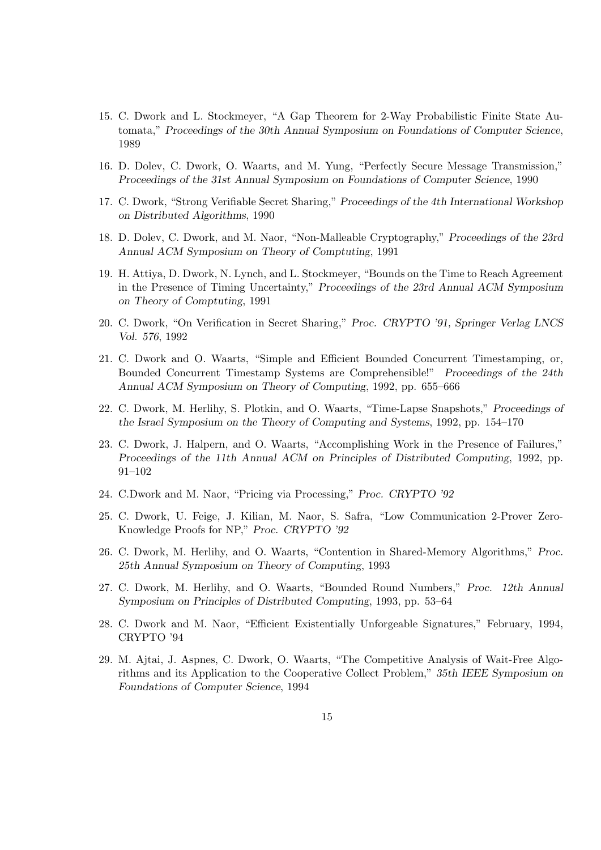- 15. C. Dwork and L. Stockmeyer, "A Gap Theorem for 2-Way Probabilistic Finite State Automata," Proceedings of the 30th Annual Symposium on Foundations of Computer Science, 1989
- 16. D. Dolev, C. Dwork, O. Waarts, and M. Yung, "Perfectly Secure Message Transmission," Proceedings of the 31st Annual Symposium on Foundations of Computer Science, 1990
- 17. C. Dwork, "Strong Verifiable Secret Sharing," Proceedings of the 4th International Workshop on Distributed Algorithms, 1990
- 18. D. Dolev, C. Dwork, and M. Naor, "Non-Malleable Cryptography," Proceedings of the 23rd Annual ACM Symposium on Theory of Comptuting, 1991
- 19. H. Attiya, D. Dwork, N. Lynch, and L. Stockmeyer, "Bounds on the Time to Reach Agreement in the Presence of Timing Uncertainty," Proceedings of the 23rd Annual ACM Symposium on Theory of Comptuting, 1991
- 20. C. Dwork, "On Verification in Secret Sharing," Proc. CRYPTO '91, Springer Verlag LNCS Vol. 576, 1992
- 21. C. Dwork and O. Waarts, "Simple and Efficient Bounded Concurrent Timestamping, or, Bounded Concurrent Timestamp Systems are Comprehensible!" Proceedings of the 24th Annual ACM Symposium on Theory of Computing, 1992, pp. 655–666
- 22. C. Dwork, M. Herlihy, S. Plotkin, and O. Waarts, "Time-Lapse Snapshots," Proceedings of the Israel Symposium on the Theory of Computing and Systems, 1992, pp. 154–170
- 23. C. Dwork, J. Halpern, and O. Waarts, "Accomplishing Work in the Presence of Failures," Proceedings of the 11th Annual ACM on Principles of Distributed Computing, 1992, pp. 91–102
- 24. C.Dwork and M. Naor, "Pricing via Processing," Proc. CRYPTO '92
- 25. C. Dwork, U. Feige, J. Kilian, M. Naor, S. Safra, "Low Communication 2-Prover Zero-Knowledge Proofs for NP," Proc. CRYPTO '92
- 26. C. Dwork, M. Herlihy, and O. Waarts, "Contention in Shared-Memory Algorithms," Proc. 25th Annual Symposium on Theory of Computing, 1993
- 27. C. Dwork, M. Herlihy, and O. Waarts, "Bounded Round Numbers," Proc. 12th Annual Symposium on Principles of Distributed Computing, 1993, pp. 53–64
- 28. C. Dwork and M. Naor, "Efficient Existentially Unforgeable Signatures," February, 1994, CRYPTO '94
- 29. M. Ajtai, J. Aspnes, C. Dwork, O. Waarts, "The Competitive Analysis of Wait-Free Algorithms and its Application to the Cooperative Collect Problem," 35th IEEE Symposium on Foundations of Computer Science, 1994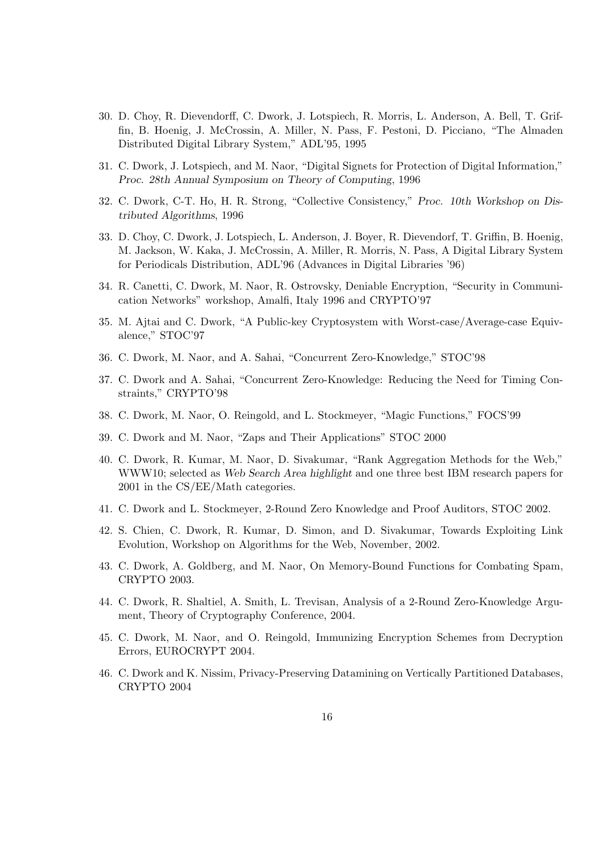- 30. D. Choy, R. Dievendorff, C. Dwork, J. Lotspiech, R. Morris, L. Anderson, A. Bell, T. Griffin, B. Hoenig, J. McCrossin, A. Miller, N. Pass, F. Pestoni, D. Picciano, "The Almaden Distributed Digital Library System," ADL'95, 1995
- 31. C. Dwork, J. Lotspiech, and M. Naor, "Digital Signets for Protection of Digital Information," Proc. 28th Annual Symposium on Theory of Computing, 1996
- 32. C. Dwork, C-T. Ho, H. R. Strong, "Collective Consistency," Proc. 10th Workshop on Distributed Algorithms, 1996
- 33. D. Choy, C. Dwork, J. Lotspiech, L. Anderson, J. Boyer, R. Dievendorf, T. Griffin, B. Hoenig, M. Jackson, W. Kaka, J. McCrossin, A. Miller, R. Morris, N. Pass, A Digital Library System for Periodicals Distribution, ADL'96 (Advances in Digital Libraries '96)
- 34. R. Canetti, C. Dwork, M. Naor, R. Ostrovsky, Deniable Encryption, "Security in Communication Networks" workshop, Amalfi, Italy 1996 and CRYPTO'97
- 35. M. Ajtai and C. Dwork, "A Public-key Cryptosystem with Worst-case/Average-case Equivalence," STOC'97
- 36. C. Dwork, M. Naor, and A. Sahai, "Concurrent Zero-Knowledge," STOC'98
- 37. C. Dwork and A. Sahai, "Concurrent Zero-Knowledge: Reducing the Need for Timing Constraints," CRYPTO'98
- 38. C. Dwork, M. Naor, O. Reingold, and L. Stockmeyer, "Magic Functions," FOCS'99
- 39. C. Dwork and M. Naor, "Zaps and Their Applications" STOC 2000
- 40. C. Dwork, R. Kumar, M. Naor, D. Sivakumar, "Rank Aggregation Methods for the Web," WWW10; selected as Web Search Area highlight and one three best IBM research papers for 2001 in the CS/EE/Math categories.
- 41. C. Dwork and L. Stockmeyer, 2-Round Zero Knowledge and Proof Auditors, STOC 2002.
- 42. S. Chien, C. Dwork, R. Kumar, D. Simon, and D. Sivakumar, Towards Exploiting Link Evolution, Workshop on Algorithms for the Web, November, 2002.
- 43. C. Dwork, A. Goldberg, and M. Naor, On Memory-Bound Functions for Combating Spam, CRYPTO 2003.
- 44. C. Dwork, R. Shaltiel, A. Smith, L. Trevisan, Analysis of a 2-Round Zero-Knowledge Argument, Theory of Cryptography Conference, 2004.
- 45. C. Dwork, M. Naor, and O. Reingold, Immunizing Encryption Schemes from Decryption Errors, EUROCRYPT 2004.
- 46. C. Dwork and K. Nissim, Privacy-Preserving Datamining on Vertically Partitioned Databases, CRYPTO 2004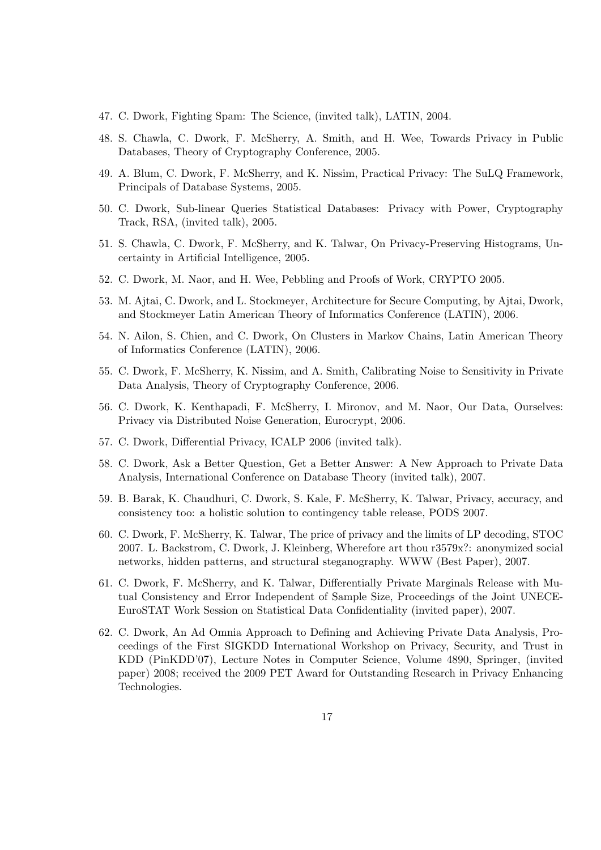- 47. C. Dwork, Fighting Spam: The Science, (invited talk), LATIN, 2004.
- 48. S. Chawla, C. Dwork, F. McSherry, A. Smith, and H. Wee, Towards Privacy in Public Databases, Theory of Cryptography Conference, 2005.
- 49. A. Blum, C. Dwork, F. McSherry, and K. Nissim, Practical Privacy: The SuLQ Framework, Principals of Database Systems, 2005.
- 50. C. Dwork, Sub-linear Queries Statistical Databases: Privacy with Power, Cryptography Track, RSA, (invited talk), 2005.
- 51. S. Chawla, C. Dwork, F. McSherry, and K. Talwar, On Privacy-Preserving Histograms, Uncertainty in Artificial Intelligence, 2005.
- 52. C. Dwork, M. Naor, and H. Wee, Pebbling and Proofs of Work, CRYPTO 2005.
- 53. M. Ajtai, C. Dwork, and L. Stockmeyer, Architecture for Secure Computing, by Ajtai, Dwork, and Stockmeyer Latin American Theory of Informatics Conference (LATIN), 2006.
- 54. N. Ailon, S. Chien, and C. Dwork, On Clusters in Markov Chains, Latin American Theory of Informatics Conference (LATIN), 2006.
- 55. C. Dwork, F. McSherry, K. Nissim, and A. Smith, Calibrating Noise to Sensitivity in Private Data Analysis, Theory of Cryptography Conference, 2006.
- 56. C. Dwork, K. Kenthapadi, F. McSherry, I. Mironov, and M. Naor, Our Data, Ourselves: Privacy via Distributed Noise Generation, Eurocrypt, 2006.
- 57. C. Dwork, Differential Privacy, ICALP 2006 (invited talk).
- 58. C. Dwork, Ask a Better Question, Get a Better Answer: A New Approach to Private Data Analysis, International Conference on Database Theory (invited talk), 2007.
- 59. B. Barak, K. Chaudhuri, C. Dwork, S. Kale, F. McSherry, K. Talwar, Privacy, accuracy, and consistency too: a holistic solution to contingency table release, PODS 2007.
- 60. C. Dwork, F. McSherry, K. Talwar, The price of privacy and the limits of LP decoding, STOC 2007. L. Backstrom, C. Dwork, J. Kleinberg, Wherefore art thou r3579x?: anonymized social networks, hidden patterns, and structural steganography. WWW (Best Paper), 2007.
- 61. C. Dwork, F. McSherry, and K. Talwar, Differentially Private Marginals Release with Mutual Consistency and Error Independent of Sample Size, Proceedings of the Joint UNECE-EuroSTAT Work Session on Statistical Data Confidentiality (invited paper), 2007.
- 62. C. Dwork, An Ad Omnia Approach to Defining and Achieving Private Data Analysis, Proceedings of the First SIGKDD International Workshop on Privacy, Security, and Trust in KDD (PinKDD'07), Lecture Notes in Computer Science, Volume 4890, Springer, (invited paper) 2008; received the 2009 PET Award for Outstanding Research in Privacy Enhancing Technologies.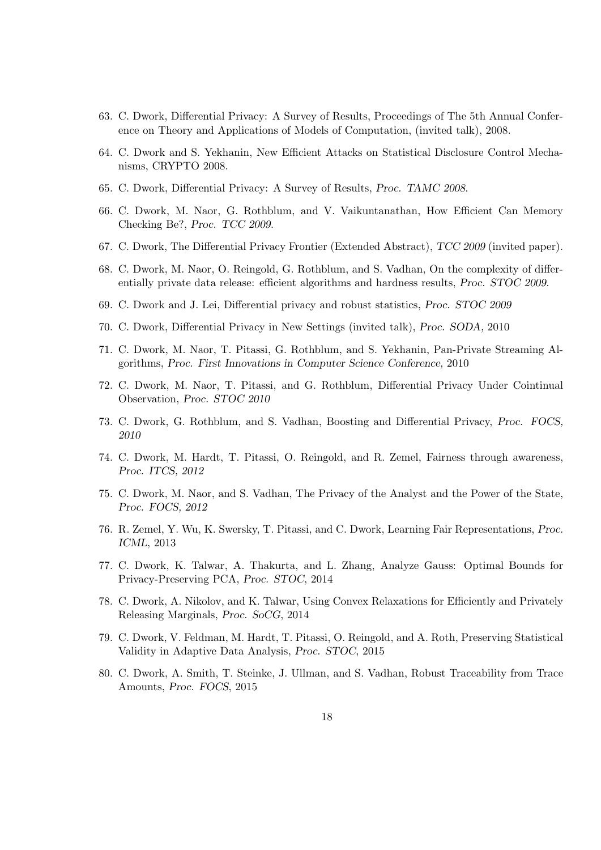- 63. C. Dwork, Differential Privacy: A Survey of Results, Proceedings of The 5th Annual Conference on Theory and Applications of Models of Computation, (invited talk), 2008.
- 64. C. Dwork and S. Yekhanin, New Efficient Attacks on Statistical Disclosure Control Mechanisms, CRYPTO 2008.
- 65. C. Dwork, Differential Privacy: A Survey of Results, Proc. TAMC 2008.
- 66. C. Dwork, M. Naor, G. Rothblum, and V. Vaikuntanathan, How Efficient Can Memory Checking Be?, Proc. TCC 2009.
- 67. C. Dwork, The Differential Privacy Frontier (Extended Abstract), TCC 2009 (invited paper).
- 68. C. Dwork, M. Naor, O. Reingold, G. Rothblum, and S. Vadhan, On the complexity of differentially private data release: efficient algorithms and hardness results, Proc. STOC 2009.
- 69. C. Dwork and J. Lei, Differential privacy and robust statistics, Proc. STOC 2009
- 70. C. Dwork, Differential Privacy in New Settings (invited talk), Proc. SODA, 2010
- 71. C. Dwork, M. Naor, T. Pitassi, G. Rothblum, and S. Yekhanin, Pan-Private Streaming Algorithms, Proc. First Innovations in Computer Science Conference, 2010
- 72. C. Dwork, M. Naor, T. Pitassi, and G. Rothblum, Differential Privacy Under Cointinual Observation, Proc. STOC 2010
- 73. C. Dwork, G. Rothblum, and S. Vadhan, Boosting and Differential Privacy, Proc. FOCS, 2010
- 74. C. Dwork, M. Hardt, T. Pitassi, O. Reingold, and R. Zemel, Fairness through awareness, Proc. ITCS, 2012
- 75. C. Dwork, M. Naor, and S. Vadhan, The Privacy of the Analyst and the Power of the State, Proc. FOCS, 2012
- 76. R. Zemel, Y. Wu, K. Swersky, T. Pitassi, and C. Dwork, Learning Fair Representations, Proc. ICML, 2013
- 77. C. Dwork, K. Talwar, A. Thakurta, and L. Zhang, Analyze Gauss: Optimal Bounds for Privacy-Preserving PCA, Proc. STOC, 2014
- 78. C. Dwork, A. Nikolov, and K. Talwar, Using Convex Relaxations for Efficiently and Privately Releasing Marginals, Proc. SoCG, 2014
- 79. C. Dwork, V. Feldman, M. Hardt, T. Pitassi, O. Reingold, and A. Roth, Preserving Statistical Validity in Adaptive Data Analysis, Proc. STOC, 2015
- 80. C. Dwork, A. Smith, T. Steinke, J. Ullman, and S. Vadhan, Robust Traceability from Trace Amounts, Proc. FOCS, 2015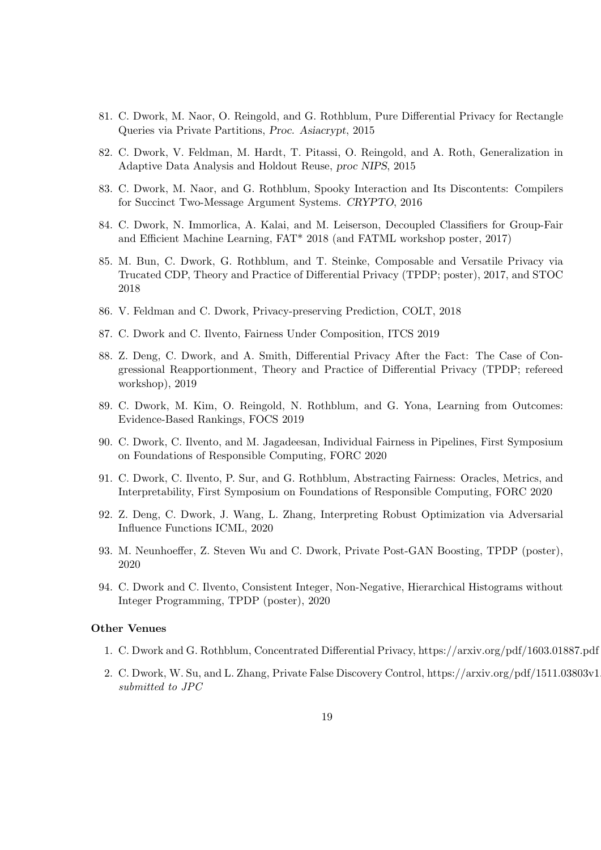- 81. C. Dwork, M. Naor, O. Reingold, and G. Rothblum, Pure Differential Privacy for Rectangle Queries via Private Partitions, Proc. Asiacrypt, 2015
- 82. C. Dwork, V. Feldman, M. Hardt, T. Pitassi, O. Reingold, and A. Roth, Generalization in Adaptive Data Analysis and Holdout Reuse, proc NIPS, 2015
- 83. C. Dwork, M. Naor, and G. Rothblum, Spooky Interaction and Its Discontents: Compilers for Succinct Two-Message Argument Systems. CRYPTO, 2016
- 84. C. Dwork, N. Immorlica, A. Kalai, and M. Leiserson, Decoupled Classifiers for Group-Fair and Efficient Machine Learning, FAT\* 2018 (and FATML workshop poster, 2017)
- 85. M. Bun, C. Dwork, G. Rothblum, and T. Steinke, Composable and Versatile Privacy via Trucated CDP, Theory and Practice of Differential Privacy (TPDP; poster), 2017, and STOC 2018
- 86. V. Feldman and C. Dwork, Privacy-preserving Prediction, COLT, 2018
- 87. C. Dwork and C. Ilvento, Fairness Under Composition, ITCS 2019
- 88. Z. Deng, C. Dwork, and A. Smith, Differential Privacy After the Fact: The Case of Congressional Reapportionment, Theory and Practice of Differential Privacy (TPDP; refereed workshop), 2019
- 89. C. Dwork, M. Kim, O. Reingold, N. Rothblum, and G. Yona, Learning from Outcomes: Evidence-Based Rankings, FOCS 2019
- 90. C. Dwork, C. Ilvento, and M. Jagadeesan, Individual Fairness in Pipelines, First Symposium on Foundations of Responsible Computing, FORC 2020
- 91. C. Dwork, C. Ilvento, P. Sur, and G. Rothblum, Abstracting Fairness: Oracles, Metrics, and Interpretability, First Symposium on Foundations of Responsible Computing, FORC 2020
- 92. Z. Deng, C. Dwork, J. Wang, L. Zhang, Interpreting Robust Optimization via Adversarial Influence Functions ICML, 2020
- 93. M. Neunhoeffer, Z. Steven Wu and C. Dwork, Private Post-GAN Boosting, TPDP (poster), 2020
- 94. C. Dwork and C. Ilvento, Consistent Integer, Non-Negative, Hierarchical Histograms without Integer Programming, TPDP (poster), 2020

#### Other Venues

- 1. C. Dwork and G. Rothblum, Concentrated Differential Privacy, https://arxiv.org/pdf/1603.01887.pdf
- 2. C. Dwork, W. Su, and L. Zhang, Private False Discovery Control, https://arxiv.org/pdf/1511.03803v1. submitted to JPC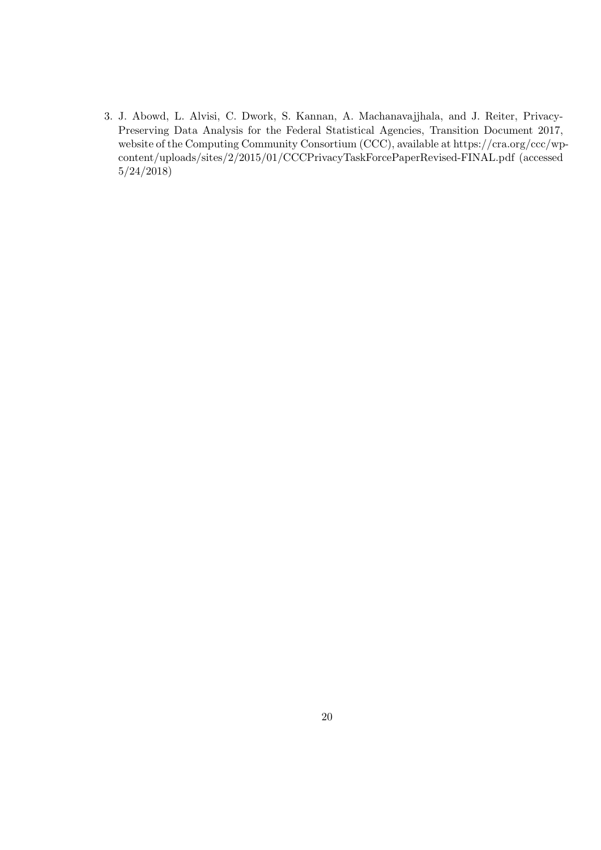3. J. Abowd, L. Alvisi, C. Dwork, S. Kannan, A. Machanavajjhala, and J. Reiter, Privacy-Preserving Data Analysis for the Federal Statistical Agencies, Transition Document 2017, website of the Computing Community Consortium (CCC), available at https://cra.org/ccc/wpcontent/uploads/sites/2/2015/01/CCCPrivacyTaskForcePaperRevised-FINAL.pdf (accessed 5/24/2018)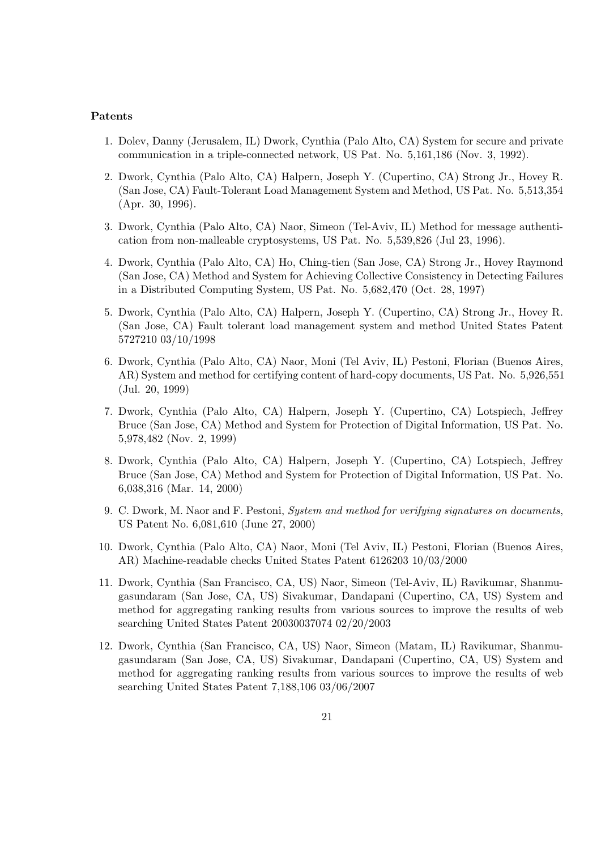### Patents

- 1. Dolev, Danny (Jerusalem, IL) Dwork, Cynthia (Palo Alto, CA) System for secure and private communication in a triple-connected network, US Pat. No. 5,161,186 (Nov. 3, 1992).
- 2. Dwork, Cynthia (Palo Alto, CA) Halpern, Joseph Y. (Cupertino, CA) Strong Jr., Hovey R. (San Jose, CA) Fault-Tolerant Load Management System and Method, US Pat. No. 5,513,354 (Apr. 30, 1996).
- 3. Dwork, Cynthia (Palo Alto, CA) Naor, Simeon (Tel-Aviv, IL) Method for message authentication from non-malleable cryptosystems, US Pat. No. 5,539,826 (Jul 23, 1996).
- 4. Dwork, Cynthia (Palo Alto, CA) Ho, Ching-tien (San Jose, CA) Strong Jr., Hovey Raymond (San Jose, CA) Method and System for Achieving Collective Consistency in Detecting Failures in a Distributed Computing System, US Pat. No. 5,682,470 (Oct. 28, 1997)
- 5. Dwork, Cynthia (Palo Alto, CA) Halpern, Joseph Y. (Cupertino, CA) Strong Jr., Hovey R. (San Jose, CA) Fault tolerant load management system and method United States Patent 5727210 03/10/1998
- 6. Dwork, Cynthia (Palo Alto, CA) Naor, Moni (Tel Aviv, IL) Pestoni, Florian (Buenos Aires, AR) System and method for certifying content of hard-copy documents, US Pat. No. 5,926,551 (Jul. 20, 1999)
- 7. Dwork, Cynthia (Palo Alto, CA) Halpern, Joseph Y. (Cupertino, CA) Lotspiech, Jeffrey Bruce (San Jose, CA) Method and System for Protection of Digital Information, US Pat. No. 5,978,482 (Nov. 2, 1999)
- 8. Dwork, Cynthia (Palo Alto, CA) Halpern, Joseph Y. (Cupertino, CA) Lotspiech, Jeffrey Bruce (San Jose, CA) Method and System for Protection of Digital Information, US Pat. No. 6,038,316 (Mar. 14, 2000)
- 9. C. Dwork, M. Naor and F. Pestoni, System and method for verifying signatures on documents, US Patent No. 6,081,610 (June 27, 2000)
- 10. Dwork, Cynthia (Palo Alto, CA) Naor, Moni (Tel Aviv, IL) Pestoni, Florian (Buenos Aires, AR) Machine-readable checks United States Patent 6126203 10/03/2000
- 11. Dwork, Cynthia (San Francisco, CA, US) Naor, Simeon (Tel-Aviv, IL) Ravikumar, Shanmugasundaram (San Jose, CA, US) Sivakumar, Dandapani (Cupertino, CA, US) System and method for aggregating ranking results from various sources to improve the results of web searching United States Patent 20030037074 02/20/2003
- 12. Dwork, Cynthia (San Francisco, CA, US) Naor, Simeon (Matam, IL) Ravikumar, Shanmugasundaram (San Jose, CA, US) Sivakumar, Dandapani (Cupertino, CA, US) System and method for aggregating ranking results from various sources to improve the results of web searching United States Patent 7,188,106 03/06/2007